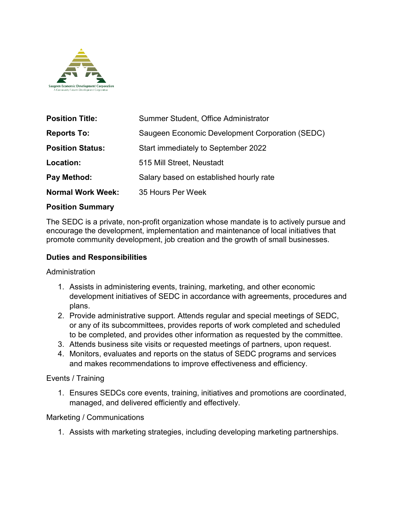

| <b>Position Title:</b>   | Summer Student, Office Administrator            |
|--------------------------|-------------------------------------------------|
| <b>Reports To:</b>       | Saugeen Economic Development Corporation (SEDC) |
| <b>Position Status:</b>  | Start immediately to September 2022             |
| Location:                | 515 Mill Street, Neustadt                       |
| Pay Method:              | Salary based on established hourly rate         |
| <b>Normal Work Week:</b> | 35 Hours Per Week                               |

### **Position Summary**

The SEDC is a private, non-profit organization whose mandate is to actively pursue and encourage the development, implementation and maintenance of local initiatives that promote community development, job creation and the growth of small businesses.

#### **Duties and Responsibilities**

#### Administration

- 1. Assists in administering events, training, marketing, and other economic development initiatives of SEDC in accordance with agreements, procedures and plans.
- 2. Provide administrative support. Attends regular and special meetings of SEDC, or any of its subcommittees, provides reports of work completed and scheduled to be completed, and provides other information as requested by the committee.
- 3. Attends business site visits or requested meetings of partners, upon request.
- 4. Monitors, evaluates and reports on the status of SEDC programs and services and makes recommendations to improve effectiveness and efficiency.

### Events / Training

1. Ensures SEDCs core events, training, initiatives and promotions are coordinated, managed, and delivered efficiently and effectively.

### Marketing / Communications

1. Assists with marketing strategies, including developing marketing partnerships.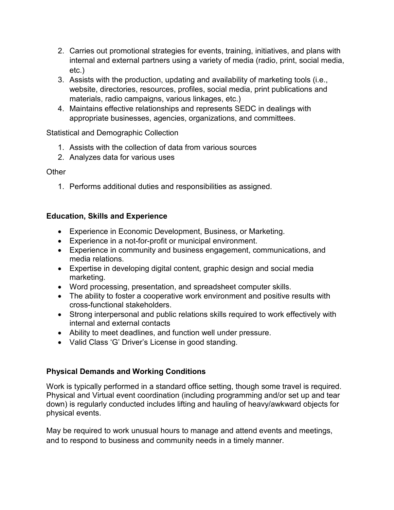- 2. Carries out promotional strategies for events, training, initiatives, and plans with internal and external partners using a variety of media (radio, print, social media, etc.)
- 3. Assists with the production, updating and availability of marketing tools (i.e., website, directories, resources, profiles, social media, print publications and materials, radio campaigns, various linkages, etc.)
- 4. Maintains effective relationships and represents SEDC in dealings with appropriate businesses, agencies, organizations, and committees.

## Statistical and Demographic Collection

- 1. Assists with the collection of data from various sources
- 2. Analyzes data for various uses

## **Other**

1. Performs additional duties and responsibilities as assigned.

## **Education, Skills and Experience**

- Experience in Economic Development, Business, or Marketing.
- Experience in a not-for-profit or municipal environment.
- Experience in community and business engagement, communications, and media relations.
- Expertise in developing digital content, graphic design and social media marketing.
- Word processing, presentation, and spreadsheet computer skills.
- The ability to foster a cooperative work environment and positive results with cross-functional stakeholders.
- Strong interpersonal and public relations skills required to work effectively with internal and external contacts
- Ability to meet deadlines, and function well under pressure.
- Valid Class 'G' Driver's License in good standing.

# **Physical Demands and Working Conditions**

Work is typically performed in a standard office setting, though some travel is required. Physical and Virtual event coordination (including programming and/or set up and tear down) is regularly conducted includes lifting and hauling of heavy/awkward objects for physical events.

May be required to work unusual hours to manage and attend events and meetings, and to respond to business and community needs in a timely manner.